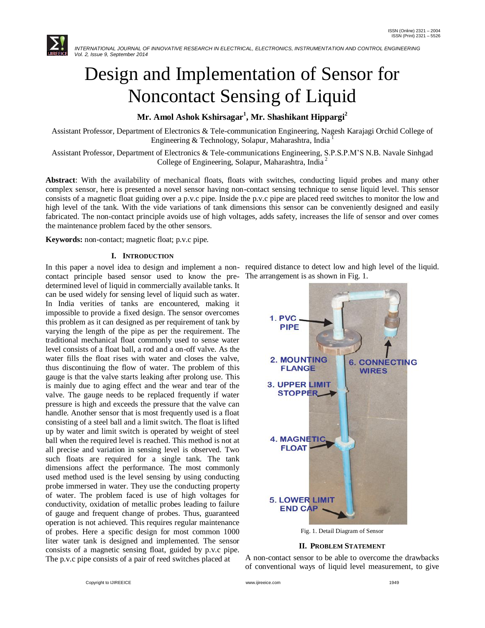

# Design and Implementation of Sensor for Noncontact Sensing of Liquid

## **Mr. Amol Ashok Kshirsagar<sup>1</sup> , Mr. Shashikant Hippargi<sup>2</sup>**

Assistant Professor, Department of Electronics & Tele-communication Engineering, Nagesh Karajagi Orchid College of Engineering & Technology, Solapur, Maharashtra, India <sup>1</sup>

Assistant Professor, Department of Electronics & Tele-communications Engineering, S.P.S.P.M'S N.B. Navale Sinhgad College of Engineering, Solapur, Maharashtra, India <sup>2</sup>

**Abstract**: With the availability of mechanical floats, floats with switches, conducting liquid probes and many other complex sensor, here is presented a novel sensor having non-contact sensing technique to sense liquid level. This sensor consists of a magnetic float guiding over a p.v.c pipe. Inside the p.v.c pipe are placed reed switches to monitor the low and high level of the tank. With the vide variations of tank dimensions this sensor can be conveniently designed and easily fabricated. The non-contact principle avoids use of high voltages, adds safety, increases the life of sensor and over comes the maintenance problem faced by the other sensors.

**Keywords:** non-contact; magnetic float; p.v.c pipe.

#### **I. INTRODUCTION**

In this paper a novel idea to design and implement a non- required distance to detect low and high level of the liquid. contact principle based sensor used to know the pre-The arrangement is as shown in Fig. 1. determined level of liquid in commercially available tanks. It can be used widely for sensing level of liquid such as water. In India verities of tanks are encountered, making it impossible to provide a fixed design. The sensor overcomes this problem as it can designed as per requirement of tank by varying the length of the pipe as per the requirement. The traditional mechanical float commonly used to sense water level consists of a float ball, a rod and a on-off valve. As the water fills the float rises with water and closes the valve, thus discontinuing the flow of water. The problem of this gauge is that the valve starts leaking after prolong use. This is mainly due to aging effect and the wear and tear of the valve. The gauge needs to be replaced frequently if water pressure is high and exceeds the pressure that the valve can handle. Another sensor that is most frequently used is a float consisting of a steel ball and a limit switch. The float is lifted up by water and limit switch is operated by weight of steel ball when the required level is reached. This method is not at all precise and variation in sensing level is observed. Two such floats are required for a single tank. The tank dimensions affect the performance. The most commonly used method used is the level sensing by using conducting probe immersed in water. They use the conducting property of water. The problem faced is use of high voltages for conductivity, oxidation of metallic probes leading to failure of gauge and frequent change of probes. Thus, guaranteed operation is not achieved. This requires regular maintenance of probes. Here a specific design for most common 1000 liter water tank is designed and implemented. The sensor consists of a magnetic sensing float, guided by p.v.c pipe. The p.v.c pipe consists of a pair of reed switches placed at



Fig. 1. Detail Diagram of Sensor

#### **II. PROBLEM STATEMENT**

A non-contact sensor to be able to overcome the drawbacks of conventional ways of liquid level measurement, to give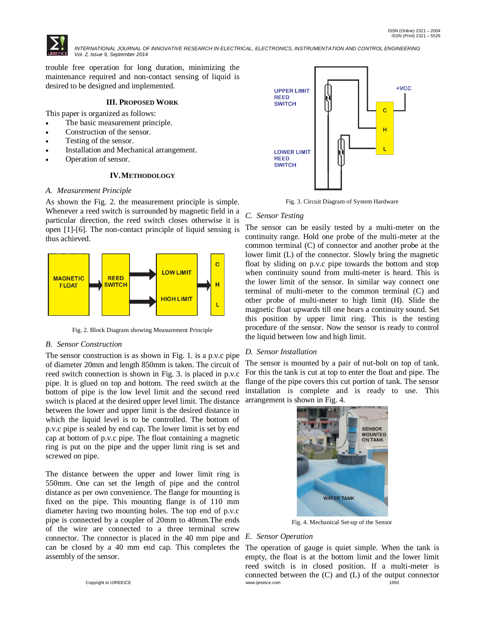

 *INTERNATIONAL JOURNAL OF INNOVATIVE RESEARCH IN ELECTRICAL, ELECTRONICS, INSTRUMENTATION AND CONTROL ENGINEERING Vol. 2, Issue 9, September 2014*

trouble free operation for long duration, minimizing the maintenance required and non-contact sensing of liquid is desired to be designed and implemented.

#### **III. PROPOSED WORK**

This paper is organized as follows:

- The basic measurement principle.
- Construction of the sensor.
- Testing of the sensor.
- Installation and Mechanical arrangement.
- Operation of sensor.

#### **IV.METHODOLOGY**

#### *A. Measurement Principle*

As shown the Fig. 2. the measurement principle is simple. Whenever a reed switch is surrounded by magnetic field in a particular direction, the reed switch closes otherwise it is open [1]-[6]. The non-contact principle of liquid sensing is thus achieved.



Fig. 2. Block Diagram showing Measurement Principle

#### *B. Sensor Construction*

The sensor construction is as shown in Fig. 1. is a p.v.c pipe of diameter 20mm and length 850mm is taken. The circuit of reed switch connection is shown in Fig. 3. is placed in p.v.c pipe. It is glued on top and bottom. The reed switch at the bottom of pipe is the low level limit and the second reed switch is placed at the desired upper level limit. The distance between the lower and upper limit is the desired distance in which the liquid level is to be controlled. The bottom of p.v.c pipe is sealed by end cap. The lower limit is set by end cap at bottom of p.v.c pipe. The float containing a magnetic ring is put on the pipe and the upper limit ring is set and screwed on pipe.

The distance between the upper and lower limit ring is 550mm. One can set the length of pipe and the control distance as per own convenience. The flange for mounting is fixed on the pipe. This mounting flange is of 110 mm diameter having two mounting holes. The top end of p.v.c pipe is connected by a coupler of 20mm to 40mm.The ends of the wire are connected to a three terminal screw connector. The connector is placed in the 40 mm pipe and *E. Sensor Operation* can be closed by a 40 mm end cap. This completes the assembly of the sensor.



Fig. 3. Circuit Diagram of System Hardware

#### *C. Sensor Testing*

The sensor can be easily tested by a multi-meter on the continuity range. Hold one probe of the multi-meter at the common terminal (C) of connector and another probe at the lower limit (L) of the connector. Slowly bring the magnetic float by sliding on p.v.c pipe towards the bottom and stop when continuity sound from multi-meter is heard. This is the lower limit of the sensor. In similar way connect one terminal of multi-meter to the common terminal (C) and other probe of multi-meter to high limit (H). Slide the magnetic float upwards till one hears a continuity sound. Set this position by upper limit ring. This is the testing procedure of the sensor. Now the sensor is ready to control the liquid between low and high limit.

#### *D. Sensor Installation*

The sensor is mounted by a pair of nut-bolt on top of tank. For this the tank is cut at top to enter the float and pipe. The flange of the pipe covers this cut portion of tank. The sensor installation is complete and is ready to use. This arrangement is shown in Fig. 4.



Fig. 4. Mechanical Set-up of the Sensor

Copyright to IJIREEICE [www.ijireeice.com](http://www.ijireeice.com/) 1950 The operation of gauge is quiet simple. When the tank is empty, the float is at the bottom limit and the lower limit reed switch is in closed position. If a multi-meter is connected between the (C) and (L) of the output connector